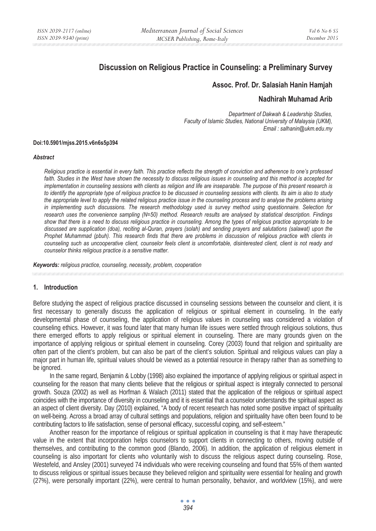# **Discussion on Religious Practice in Counseling: a Preliminary Survey**

## **Assoc. Prof. Dr. Salasiah Hanin Hamjah**

## **Nadhirah Muhamad Arib**

*Department of Dakwah & Leadership Studies, Faculty of Islamic Studies, National University of Malaysia (UKM), Email : salhanin@ukm.edu.my* 

#### **Doi:10.5901/mjss.2015.v6n6s5p394**

#### *Abstract*

*Religious practice is essential in every faith. This practice reflects the strength of conviction and adherence to one's professed faith. Studies in the West have shown the necessity to discuss religious issues in counseling and this method is accepted for implementation in counseling sessions with clients as religion and life are inseparable. The purpose of this present research is to identify the appropriate type of religious practice to be discussed in counseling sessions with clients. Its aim is also to study the appropriate level to apply the related religious practice issue in the counseling process and to analyse the problems arising in implementing such discussions. The research methodology used is survey method using questionnaire. Selection for research uses the convenience sampling (N=50) method. Research results are analysed by statistical description. Findings show that there is a need to discuss religious practice in counseling. Among the types of religious practice appropriate to be discussed are supplication (doa), reciting al-Quran, prayers (solah) and sending prayers and salutations (salawat) upon the Prophet Muhammad (pbuh). This research finds that there are problems in discussion of religious practice with clients in counseling such as uncooperative client, counselor feels client is uncomfortable, disinterested client, client is not ready and counselor thinks religious practice is a sensitive matter.* 

*Keywords: religious practice, counseling, necessity, problem, cooperation* 

#### **1. Introduction**

Before studying the aspect of religious practice discussed in counseling sessions between the counselor and client, it is first necessary to generally discuss the application of religious or spiritual element in counseling. In the early developmental phase of counseling, the application of religious values in counseling was considered a violation of counseling ethics. However, it was found later that many human life issues were settled through religious solutions, thus there emerged efforts to apply religious or spiritual element in counseling. There are many grounds given on the importance of applying religious or spiritual element in counseling. Corey (2003) found that religion and spirituality are often part of the client's problem, but can also be part of the client's solution. Spiritual and religious values can play a major part in human life, spiritual values should be viewed as a potential resource in therapy rather than as something to be ignored.

In the same regard, Benjamin & Lobby (1998) also explained the importance of applying religious or spiritual aspect in counseling for the reason that many clients believe that the religious or spiritual aspect is integrally connected to personal growth. Souza (2002) as well as Horfman & Walach (2011) stated that the application of the religious or spiritual aspect coincides with the importance of diversity in counseling and it is essential that a counselor understands the spiritual aspect as an aspect of client diversity. Day (2010) explained, "A body of recent research has noted some positive impact of spirituality on well-being. Across a broad array of cultural settings and populations, religion and spirituality have often been found to be contributing factors to life satisfaction, sense of personal efficacy, successful coping, and self-esteem."

Another reason for the importance of religious or spiritual application in counseling is that it may have therapeutic value in the extent that incorporation helps counselors to support clients in connecting to others, moving outside of themselves, and contributing to the common good (Blando, 2006). In addition, the application of religious element in counseling is also important for clients who voluntarily wish to discuss the religious aspect during counseling. Rose, Westefeld, and Ansley (2001) surveyed 74 individuals who were receiving counseling and found that 55% of them wanted to discuss religious or spiritual issues because they believed religion and spirituality were essential for healing and growth (27%), were personally important (22%), were central to human personality, behavior, and worldview (15%), and were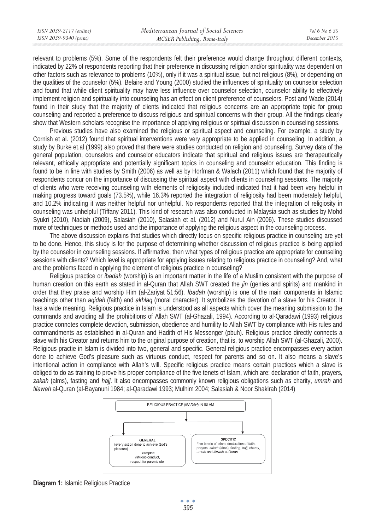relevant to problems (5%). Some of the respondents felt their preference would change throughout different contexts, indicated by 22% of respondents reporting that their preference in discussing religion and/or spirituality was dependent on other factors such as relevance to problems (10%), only if it was a spiritual issue, but not religious (8%), or depending on the qualities of the counselor (5%). Belaire and Young (2000) studied the influences of spirituality on counselor selection and found that while client spirituality may have less influence over counselor selection, counselor ability to effectively implement religion and spirituality into counseling has an effect on client preference of counselors. Post and Wade (2014) found in their study that the majority of clients indicated that religious concerns are an appropriate topic for group counseling and reported a preference to discuss religious and spiritual concerns with their group. All the findings clearly show that Western scholars recognise the importance of applying religious or spiritual discussion in counseling sessions.

Previous studies have also examined the religious or spiritual aspect and counseling. For example, a study by Cornish et al. (2012) found that spiritual interventions were very appropriate to be applied in counseling. In addition, a study by Burke et.al (1999) also proved that there were studies conducted on religion and counseling. Survey data of the general population, counselors and counselor educators indicate that spiritual and religious issues are therapeutically relevant, ethically appropriate and potentially significant topics in counseling and counselor education. This finding is found to be in line with studies by Smith (2006) as well as by Horfman & Walach (2011) which found that the majority of respondents concur on the importance of discussing the spiritual aspect with clients in counseling sessions. The majority of clients who were receiving counseling with elements of religiosity included indicated that it had been very helpful in making progress toward goals (73.5%), while 16.3% reported the integration of religiosity had been moderately helpful, and 10.2% indicating it was neither helpful nor unhelpful. No respondents reported that the integration of religiosity in counseling was unhelpful (Tiffany 2011). This kind of research was also conducted in Malaysia such as studies by Mohd Syukri (2010), Nadiah (2009), Salasiah (2010), Salasiah et al. (2012) and Nurul Ain (2006). These studies discussed more of techniques or methods used and the importance of applying the religious aspect in the counseling process.

The above discussion explains that studies which directly focus on specific religious practice in counseling are yet to be done. Hence, this study is for the purpose of determining whether discussion of religious practice is being applied by the counselor in counseling sessions. If affirmative, then what types of religious practice are appropriate for counseling sessions with clients? Which level is appropriate for applying issues relating to religious practice in counseling? And, what are the problems faced in applying the element of religious practice in counseling?

Religious practice or *ibadah* (worship) is an important matter in the life of a Muslim consistent with the purpose of human creation on this earth as stated in al-Quran that Allah SWT created the *jin* (genies and spirits) and mankind in order that they praise and worship Him (al-Zariyat 51:56). *Ibadah* (worship) is one of the main components in Islamic teachings other than *aqidah* (faith) and *akhlaq* (moral character). It symbolizes the devotion of a slave for his Creator. It has a wide meaning. Religious practice in Islam is understood as all aspects which cover the meaning submission to the commands and avoiding all the prohibitions of Allah SWT (al-Ghazali, 1994). According to al-Qaradawi (1993) religious practice connotes complete devotion, submission, obedience and humility to Allah SWT by compliance with His rules and commandments as established in al-Quran and Hadith of His Messenger (pbuh). Religious practice directly connects a slave with his Creator and returns him to the original purpose of creation, that is, to worship Allah SWT (al-Ghazali, 2000). Religious practie in Islam is divided into two, general and specific. General religious practice encompasses every action done to achieve God's pleasure such as virtuous conduct, respect for parents and so on. It also means a slave's intentional action in compliance with Allah's will. Specific religious practice means certain practices which a slave is obliged to do as training to prove his proper compliance of the five tenets of Islam, which are: declaration of faith, prayers, *zakah* (alms), fasting and *hajj*. It also encompasses commonly known religious obligations such as charity, *umrah* and *tilawah* al-Quran (al-Bayanuni 1984; al-Qaradawi 1993; Mulhim 2004; Salasiah & Noor Shakirah (2014)



**Diagram 1:** Islamic Religious Practice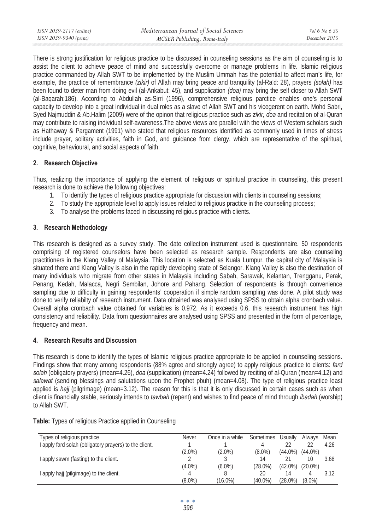There is strong justification for religious practice to be discussed in counseling sessions as the aim of counseling is to assist the client to achieve peace of mind and successfully overcome or manage problems in life. Islamic religious practice commanded by Allah SWT to be implemented by the Muslim Ummah has the potential to affect man's life, for example, the practice of remembrance *(zikir)* of Allah may bring peace and tranquility (al-Ra'd: 28), prayers *(solah)* has been found to deter man from doing evil (al-Ankabut: 45), and supplication *(doa)* may bring the self closer to Allah SWT (al-Baqarah:186). According to Abdullah as-Sirri (1996), comprehensive religious parctice enables one's personal capacity to develop into a great individual in dual roles as a slave of Allah SWT and his vicegerent on earth. Mohd Sabri, Syed Najmuddin & Ab.Halim (2009) were of the opinon that religious practice such as *zikir, doa* and recitation of al-Quran may contribute to raising individual self-awareness.The above views are parallel with the views of Western scholars such as Hathaway & Pargament (1991) who stated that religious resources identified as commonly used in times of stress include prayer, solitary activities, faith in God, and guidance from clergy, which are representative of the spiritual, cognitive, behavioural, and social aspects of faith.

# **2. Research Objective**

Thus, realizing the importance of applying the element of religious or spiritual practice in counseling, this present research is done to achieve the following objectives:

- 1. To identify the types of religious practice appropriate for discussion with clients in counseling sessions;
- 2. To study the appropriate level to apply issues related to religious practice in the counseling process;
- 3. To analyse the problems faced in discussing religious practice with clients.

# **3. Research Methodology**

This research is designed as a survey study. The date collection instrument used is questionnaire. 50 respondents comprising of registered counselors have been selected as research sample. Respondents are also counseling practitioners in the Klang Valley of Malaysia. This location is selected as Kuala Lumpur, the capital city of Malaysia is situated there and Klang Valley is also in the rapidly developing state of Selangor. Klang Valley is also the destination of many individuals who migrate from other states in Malaysia including Sabah, Sarawak, Kelantan, Trengganu, Perak, Penang, Kedah, Malacca, Negri Sembilan, Johore and Pahang. Selection of respondents is through convenience sampling due to difficulty in gaining respondents' cooperation if simple random sampling was done. A pilot study was done to verify reliabilty of research instrument. Data obtained was analysed using SPSS to obtain alpha cronbach value. Overall alpha cronbach value obtained for variables is 0.972. As it exceeds 0.6, this research instrument has high consistency and reliability. Data from questionnaires are analysed using SPSS and presented in the form of percentage, frequency and mean.

# **4. Research Results and Discussion**

This research is done to identify the types of Islamic religious practice appropriate to be applied in counseling sessions. Findings show that many among respondents (88% agree and strongly agree) to apply religious practice to clients: *fard solah* (obligatory prayers) (mean=4.26), *doa* (supplication) (mean=4.24) followed by reciting of al-Quran (mean=4.12) and *salawat* (sending blessings and salutations upon the Prophet pbuh) (mean=4.08). The type of religious practice least applied is *hajj* (pilgrimage) (mean=3.12). The reason for this is that it is only discussed in certain cases such as when client is financially stable, seriously intends to *tawbah* (repent) and wishes to find peace of mind through *ibadah* (worship) to Allah SWT.

|  |  |  |  |  | Table: Types of religious Practice applied in Counseling |
|--|--|--|--|--|----------------------------------------------------------|
|--|--|--|--|--|----------------------------------------------------------|

| Types of religious practice                            | Never     | Once in a while : | Sometimes  | Usually    | Always                | Mean |
|--------------------------------------------------------|-----------|-------------------|------------|------------|-----------------------|------|
| I apply fard solah (obligatory prayers) to the client. |           |                   |            | 22         |                       | 4.26 |
|                                                        | $(2.0\%)$ | $(2.0\%)$         | $(8.0\%)$  | $(44.0\%)$ | $(44.0\%)$            |      |
| I apply sawm (fasting) to the client.                  |           |                   | 14         |            |                       | 3.68 |
|                                                        | $(4.0\%)$ | $(6.0\%)$         | $(28.0\%)$ |            | $(42.0\%)$ $(20.0\%)$ |      |
| I apply hajj (pilgimage) to the client.                |           | 8                 | 20         | 14         |                       | 3.12 |
|                                                        | $(8.0\%)$ | $(16.0\%)$        | $(40.0\%)$ | $(28.0\%)$ | $(8.0\%)$             |      |

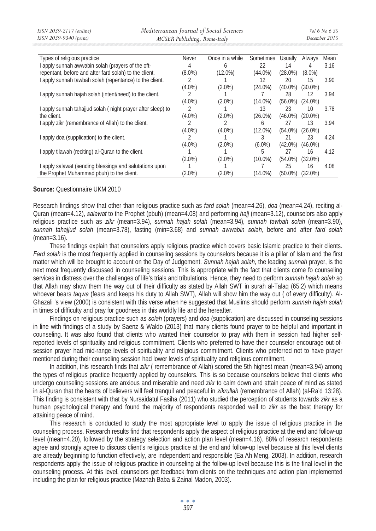*Mediterranean Journal of Social Sciences MCSER Publishing, Rome-Italy* 

| Types of religious practice                                 | Never     | Once in a while | Sometimes  | Usually    | Always     | Mean |
|-------------------------------------------------------------|-----------|-----------------|------------|------------|------------|------|
| I apply sunnah awwabin solah (prayers of the oft-           | 4         | 6               | 22         | 14         | 4          | 3.16 |
| repentant, before and after fard solah) to the client.      | $(8.0\%)$ | $(12.0\%)$      | $(44.0\%)$ | $(28.0\%)$ | $(8.0\%)$  |      |
| I apply sunnah tawbah solah (repentance) to the client.     |           |                 | 12         | 20         | 15         | 3.90 |
|                                                             | $(4.0\%)$ | $(2.0\%)$       | $(24.0\%)$ | $(40.0\%)$ | $(30.0\%)$ |      |
| I apply sunnah hajah solah (intent/need) to the client.     |           |                 |            | 28         | 12         | 3.94 |
|                                                             | $(4.0\%)$ | $(2.0\%)$       | $(14.0\%)$ | $(56.0\%)$ | $(24.0\%)$ |      |
| I apply sunnah tahajjud solah (night prayer after sleep) to |           |                 | 13         | 23         | 10         | 3.78 |
| the client.                                                 | $(4.0\%)$ | $(2.0\%)$       | $(26.0\%)$ | $(46.0\%)$ | $(20.0\%)$ |      |
| I apply zikr (remembrance of Allah) to the client.          |           |                 | 6          | 27         | 13         | 3.94 |
|                                                             | $(4.0\%)$ | $(4.0\%)$       | $(12.0\%)$ | $(54.0\%)$ | $(26.0\%)$ |      |
| I apply doa (supplication) to the client.                   |           |                 | 3          | 21         | 23         | 4.24 |
|                                                             | $(4.0\%)$ | $(2.0\%)$       | $(6.0\%)$  | $(42.0\%)$ | $(46.0\%)$ |      |
| I apply tilawah (reciting) al-Quran to the client.          |           |                 | 5          | 27         | 16         | 4.12 |
|                                                             | $(2.0\%)$ | $(2.0\%)$       | $(10.0\%)$ | $(54.0\%)$ | $(32.0\%)$ |      |
| I apply salawat (sending blessings and salutations upon     |           |                 |            | 25         | 16         | 4.08 |
| the Prophet Muhammad pbuh) to the client.                   | $(2.0\%)$ | $(2.0\%)$       | (14.0%)    | (50.0%)    | $(32.0\%)$ |      |

#### **Source:** Questionnaire UKM 2010

Research findings show that other than religious practice such as *fard solah* (mean=4.26), *doa* (mean=4.24), reciting al-Quran (mean=4.12), *salawat* to the Prophet (pbuh) (mean=4.08) and performing *hajj* (mean=3.12), counselors also apply religious practice such as *zikr* (mean=3.94), *sunnah hajah solah* (mean=3.94), *sunnah tawbah solah* (mean=3.90), *sunnah tahajjud solah* (mean=3.78), fasting (min=3.68) and *sunnah awwabin solah*, before and after *fard solah* (mean=3.16).

These findings explain that counselors apply religious practice which covers basic Islamic practice to their clients. *Fard solah* is the most frequently applied in counseling sessions by counselors because it is a pillar of Islam and the first matter which will be brought to account on the Day of Judgement. *Sunnah hajah solah*, the leading *sunnah* prayer, is the next most frequently discussed in counseling sessions. This is appropriate with the fact that clients come fo counseling services in distress over the challenges of life's trials and tribulations. Hence, they need to perform *sunnah hajah solah* so that Allah may show them the way out of their difficulty as stated by Allah SWT in surah al-Talaq (65:2) which means whoever bears *taqwa* (fears and keeps his duty to Allah SWT), Allah will show him the way out ( of every difficulty). Al-Ghazali 's view (2000) is consistent with this verse when he suggested that Muslims should perform *sunnah hajah solah* in times of difficulty and pray for goodness in this worldly life and the hereafter.

Findings on religious practice such as *solah* (prayers) and *doa* (supplication) are discussed in counseling sessions in line with findings of a study by Saenz & Waldo (2013) that many clients found prayer to be helpful and important in counseling. It was also found that clients who wanted their counselor to pray with them in session had higher selfreported levels of spirituality and religious commitment. Clients who preferred to have their counselor encourage out-ofsession prayer had mid-range levels of spirituality and religious commitment. Clients who preferred not to have prayer mentioned during their counseling session had lower levels of spirituality and religious commitment.

In addition, this research finds that *zikr* ( remembrance of Allah) scored the 5th highest mean (mean=3.94) among the types of religious practice frequently applied by counselors. This is so because counselors believe that clients who undergo counseling sessions are anxious and miserable and need *zikr* to calm down and attain peace of mind as stated in al-Quran that the hearts of believers will feel tranquil and peaceful in *zikrullah* (remembrance of Allah) (al-Ra'd 13:28). This finding is consistent with that by Nursaidatul Fasiha (2011) who studied the perception of students towards *zikr* as a human psychological therapy and found the majority of respondents responded well to *zikr* as the best therapy for attaining peace of mind.

This research is conducted to study the most appropriate level to apply the issue of religious practice in the counseling process. Research results find that respondents apply the aspect of religious practice at the end and follow-up level (mean=4.20), followed by the strategy selection and action plan level (mean=4.16). 88% of research respondents agree and strongly agree to discuss client's religious practice at the end and follow-up level because at this level clients are already beginning to function effectively, are independent and responsible (Ea Ah Meng, 2003). In addition, research respondents apply the issue of religious practice in counseling at the follow-up level because this is the final level in the counseling process. At this level, counselors get feedback from clients on the techniques and action plan implemented including the plan for religious practice (Maznah Baba & Zainal Madon, 2003).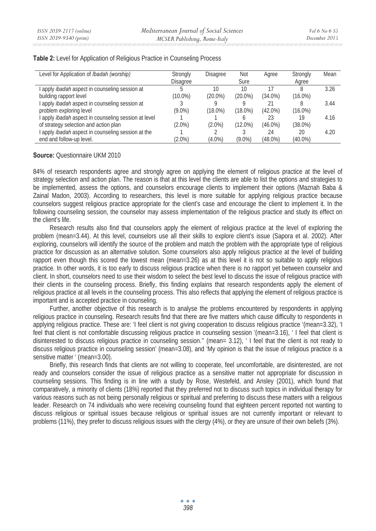| Level for Application of Ibadah (worship)                                            | Strongly<br>Disagree | <b>Disagree</b>  | <b>Not</b><br>Sure | Agree            | Strongly<br>Agree | Mean |
|--------------------------------------------------------------------------------------|----------------------|------------------|--------------------|------------------|-------------------|------|
| apply <i>ibadah</i> aspect in counseling session at<br>building rapport level        | $(10.0\%)$           | 10<br>$(20.0\%)$ | 10<br>$(20.0\%)$   | 17<br>$(34.0\%)$ | $(16.0\%)$        | 3.26 |
| apply <i>ibadah</i> aspect in counseling session at                                  |                      | Q                |                    | 21               |                   | 3.44 |
| problem exploring level<br>apply <i>ibadah</i> aspect in counseling session at level | $(9.0\%)$            | $(18.0\%)$       | $(18.0\%)$         | $(42.0\%)$<br>23 | $(16.0\%)$<br>19  | 4.16 |
| of strategy selection and action plan                                                | $(2.0\%)$            | $(2.0\%)$        | $(12.0\%)$         | $(46.0\%)$       | $(38.0\%)$        |      |
| apply <i>ibadah</i> aspect in counseling session at the<br>end and follow-up level.  | $(2.0\%)$            | $(4.0\%)$        | $(9.0\%)$          | 24<br>$(48.0\%)$ | 20<br>$(40.0\%)$  | 4.20 |

**Table 2:** Level for Application of Religious Practice in Counseling Process

#### **Source:** Questionnaire UKM 2010

84% of research respondents agree and strongly agree on applying the element of religious practice at the level of strategy selection and action plan. The reason is that at this level the clients are able to list the options and strategies to be implemented, assess the options, and counselors encourage clients to implement their options (Maznah Baba & Zainal Madon, 2003). According to researchers, this level is more suitable for applying religious practice because counselors suggest religious practice appropriate for the client's case and encourage the client to implement it. In the following counseling session, the counselor may assess implementation of the religious practice and study its effect on the client's life.

Research results also find that counselors apply the element of religious practice at the level of exploring the problem (mean=3.44). At this level, counselors use all their skills to explore client's issue (Sapora et al. 2002). After exploring, counselors will identify the source of the problem and match the problem with the appropriate type of religious practice for discussion as an alternative solution. Some counselors also apply religious practice at the level of building rapport even though this scored the lowest mean (mean=3.26) as at this level it is not so suitable to apply religious practice. In other words, it is too early to discuss religious practice when there is no rapport yet between counselor and client. In short, counselors need to use their wisdom to select the best level to discuss the issue of religious practice with their clients in the counseling process. Briefly, this finding explains that research respondents apply the element of religious practice at all levels in the counseling process. This also reflects that applying the element of religious practice is important and is accepted practice in counseling.

Further, another objective of this research is to analyse the problems encountered by respondents in applying religious practice in counseling. Research results find that there are five matters which cause difficulty to respondents in applying religious practice. These are: 'I feel client is not giving cooperation to discuss religious practice '(mean=3.32), 'I feel that client is not comfortable discussing religious practice in counseling session '(mean=3.16), ' I feel that client is disinterested to discuss religious practice in counseling session.'' (mean= 3.12), ' I feel that the client is not ready to discuss religious practice in counseling session' (mean=3.08), and 'My opinion is that the issue of religious practice is a sensitive matter ' (mean=3.00).

Briefly, this research finds that clients are not willing to cooperate, feel uncomfortable, are disinterested, are not ready and counselors consider the issue of religious practice as a sensitive matter not appropriate for discussion in counseling sessions. This finding is in line with a study by Rose, Westefeld, and Ansley (2001), which found that comparatively, a minority of clients (18%) reported that they preferred not to discuss such topics in individual therapy for various reasons such as not being personally religious or spiritual and preferring to discuss these matters with a religious leader. Research on 74 individuals who were receiving counseling found that eighteen percent reported not wanting to discuss religious or spiritual issues because religious or spiritual issues are not currently important or relevant to problems (11%), they prefer to discuss religious issues with the clergy (4%), or they are unsure of their own beliefs (3%).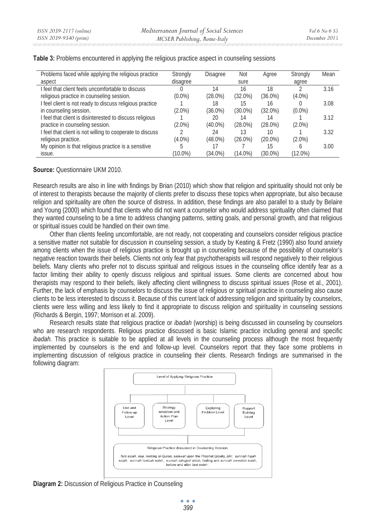| Problems faced while applying the religious practice      | Strongly   | Disagree   | Not        | Agree      | Strongly   | Mean |
|-----------------------------------------------------------|------------|------------|------------|------------|------------|------|
| aspect                                                    | disagree   |            | sure       |            | agree      |      |
| feel that client feels uncomfortable to discuss           |            | 14         | 16         | 18         |            | 3.16 |
| religious practice in counseling session.                 | $(0.0\%)$  | $(28.0\%)$ | $(32.0\%)$ | $(36.0\%)$ | $(4.0\%)$  |      |
| I feel client is not ready to discuss religious practice  |            | 18         | 15         | 16         |            | 3.08 |
| in counseling session.                                    | $(2.0\%)$  | $(36.0\%)$ | $(30.0\%)$ | $(32.0\%)$ | $(0.0\%)$  |      |
| I feel that client is disinterested to discuss religious  |            | 20         | 14         | 14         |            | 3.12 |
| practice in counseling session.                           | $(2.0\%)$  | $(40.0\%)$ | $(28.0\%)$ | $(28.0\%)$ | $(2.0\%)$  |      |
| I feel that client is not willing to cooperate to discuss |            | 24         | 13         | 10         |            | 3.32 |
| religious practice.                                       | $(4.0\%)$  | $(48.0\%)$ | $(26.0\%)$ | $(20.0\%)$ | $(2.0\%)$  |      |
| My opinion is that religious practice is a sensitive      | 5          |            |            | 15         |            | 3.00 |
| issue.                                                    | $(10.0\%)$ | (34.0%)    | $(14.0\%)$ | $(30.0\%)$ | $(12.0\%)$ |      |

**Table 3:** Problems encountered in applying the religious practice aspect in counseling sessions

## **Source:** Questionnaire UKM 2010.

Research results are also in line with findings by Brian (2010) which show that religion and spirituality should not only be of interest to therapists because the majority of clients prefer to discuss these topics when appropriate, but also because religion and spirituality are often the source of distress. In addition, these findings are also parallel to a study by Belaire and Young (2000) which found that clients who did not want a counselor who would address spirituality often claimed that they wanted counseling to be a time to address changing patterns, setting goals, and personal growth, and that religious or spiritual issues could be handled on their own time.

Other than clients feeling uncomfortable, are not ready, not cooperating and counselors consider religious practice a sensitive matter not suitable for discussion in counseling session, a study by Keating & Fretz (1990) also found anxiety among clients when the issue of religious practice is brought up in counseling because of the possibility of counselor's negative reaction towards their beliefs. Clients not only fear that psychotherapists will respond negatively to their religious beliefs. Many clients who prefer not to discuss spiritual and religious issues in the counseling office identify fear as a factor limiting their ability to openly discuss religious and spiritual issues. Some clients are concerned about how therapists may respond to their beliefs, likely affecting client willingness to discuss spiritual issues (Rose et al., 2001). Further, the lack of emphasis by counselors to discuss the issue of religious or spiritual practice in counseling also cause clients to be less interested to discuss it. Because of this current lack of addressing religion and spirituality by counselors, clients were less willing and less likely to find it appropriate to discuss religion and spirituality in counseling sessions (Richards & Bergin, 1997; Morrison et al. 2009).

Research results state that religious practice or *ibadah* (worship) is being discussed iin counseling by counselors who are research respondents. Religious practice discussed is basic Islamic practice including general and specific *ibadah.* This practice is suitable to be applied at all levels in the counseling process although the most frequently implemented by counselors is the end and follow-up level. Counselors report that they face some problems in implementing discussion of religious practice in counseling their clients. Research findings are summarised in the following diagram:



**Diagram 2:** Discussion of Religious Practice in Counseling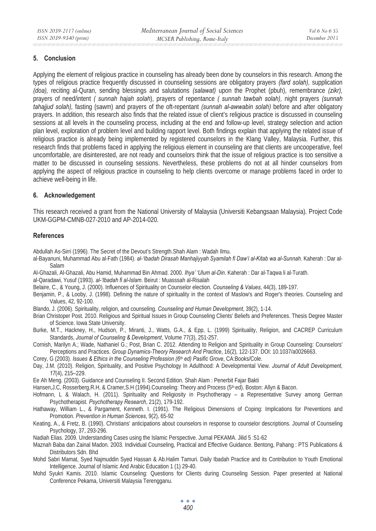## **5. Conclusion**

Applying the element of religious practice in counseling has already been done by counselors in this research. Among the types of religious practice frequently discussed in counseling sessions are obligatory prayers *(fard solah),* supplication *(doa),* reciting al-Quran, sending blessings and salutations *(salawat)* upon the Prophet (pbuh), remembrance *(zikr),* prayers of need/intent *( sunnah hajah solah*), prayers of repentance *( sunnah tawbah solah),* night prayers *(sunnah tahajjud solah),* fasting (sawm) and prayers of the oft-repentant *(sunnah al-awwabin solah)* before and after obligatory prayers. In addition, this research also finds that the related issue of client's religious practice is discussed in counseling sessions at all levels in the counseling process, including at the end and follow-up level, strategy selection and action plan level, exploration of problem level and building rapport level. Both findings explain that applying the related issue of religious practice is already being implemented by registered counselors in the Klang Valley, Malaysia. Further, this research finds that problems faced in applying the religious element in counseling are that clients are uncooperative, feel uncomfortable, are disinterested, are not ready and counselors think that the issue of religious practice is too sensitive a matter to be discussed in counseling sessions. Nevertheless, these problems do not at all hinder counselors from applying the aspect of religious practice in counseling to help clients overcome or manage problems faced in order to achieve well-being in life.

#### **6. Acknowledgement**

This research received a grant from the National University of Malaysia (Universiti Kebangsaan Malaysia). Project Code UKM-GGPM-CMNB-027-2010 and AP-2014-020.

## **References**

Abdullah As-Sirri (1996). The Secret of the Devout's Strength.Shah Alam : Wadah Ilmu.

- al-Bayanuni, Muhammad Abu al-Fath (1984). *al-'Ibadah Dirasah Manhajiyyah Syamilah fi Daw'i al-Kitab wa al-Sunnah*. Kaherah : Dar al-Salam
- Al-Ghazali, Al-Ghazali, Abu Hamid, Muhammad Bin Ahmad. 2000. *Ihya' 'Ulum al-Din*. Kaherah : Dar al-Taqwa li al-Turath.
- al-Qaradawi, Yusuf (1993). *al-'Ibadah fi al-Islam*. Beirut : Muasssah al-Risalah
- Belaire, C., & Young, J. (2000). Influences of Spirituality on Counselor election. *Counseling & Values*, 44(3), 189-197.
- Benjamin, P., & Looby, J. (1998). Defining the nature of spirituality in the context of Maslow's and Roger's theories. Counseling and Values, 42, 92-100.
- Blando, J. (2006). Spirituality, religion, and counseling. *Counseling and Human Development*, 39(2), 1-14.
- Brian Christoper Post. 2010. Religious and Spiritual Issues in Group Counseling Clients' Beliefs and Preferences. Thesis Degree Master of Science. Iowa State University.
- Burke, M.T., Hackney, H., Hudson, P., Miranti, J., Watts, G.A., & Epp, L. (1999) Spirituality, Religion, and CACREP Curriculum Standards, *Journal of Counseling & Development*, Volume 77(3), 251-257.
- Cornish, Marilyn A.; Wade, Nathaniel G.; Post, Brian C. 2012. Attending to Religion and Spirituality in Group Counseling: Counselors' Perceptions and Practices. *Group Dynamics-Theory Research And Practice*, 16(2), 122-137. DOI: 10.1037/a0026663.
- Corey, G (2003). *Issues & Ethics in the Counseling Profession (6th ed) Pasific Grove*, CA:Books/Cole.
- Day, J.M. (2010). Religion, Spirituality, and Positive Psychology In Adulthood: A Developmental View. *Journal of Adult Development, 17*(4), 215–229.
- Ee Ah Meng. (2003). Guidance and Counseling II. Second Edition. Shah Alam : Penerbit Fajar Bakti
- Hansen, J.C, Rosserberg, R.H, & Cramer, S.H (1994). Counseling: Theory and Process (5<sup>th</sup> ed). Boston: Allyn & Bacon.
- Hofmann, L & Walach, H. (2011). Spirituality and Religiosity in Psychotherapy a Representative Survey among German Psychotherapist. *Psychotherapy Research*, 21(2), 179-192.
- Hathaway, William L., & Pargament, Kenneth. I. (1991). The Religious Dimensions of Coping: Implications for Preventions and Promotion. *Prevention in Human Sciences*, 9(2), 65-92
- Keating, A., & Fretz, B. (1990). Christians' anticipations about counselors in response to counselor descriptions. Journal of Counseling Psychology, 37, 293-296.
- Nadiah Elias. 2009. Understanding Cases using the Islamic Perspective. Jurnal PEKAMA. Jilid 5 :51-62
- Maznah Baba dan Zainal Madon. 2003. Individual Counseling, Practical and Effective Guidance. Bentong, Pahang : PTS Publications & Distributors Sdn. Bhd
- Mohd Sabri Mamat, Syed Najmuddin Syed Hassan & Ab.Halim Tamuri. Daily Ibadah Practice and its Contribution to Youth Emotional Intelligence. Journal of Islamic And Arabic Education 1 (1) 29-40.
- Mohd Syukri Kamis. 2010. Islamic Counseling: Questions for Clients during Counseling Session. Paper presented at National Conference Pekama, Universiti Malaysia Terengganu.